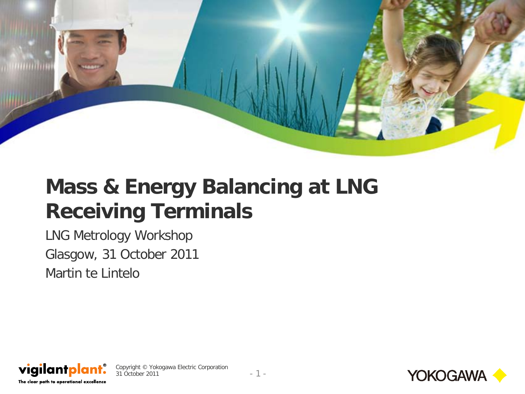

## **Mass & Energy Balancing at LNG Receiving Terminals**

LNG Metrology Workshop Glasgow, 31 October 2011 Martin te Lintelo



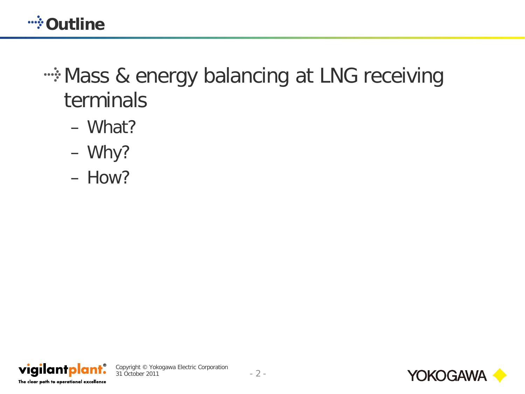**WAND WANDER** 

## **EXALDE SHE EXALDE SHE SHERE SHERE SHERE SHERE SHERE SHERE IS SHERE SHERE SHERE SHERE SHERE SHERE SHERE SHERE SHERE SHERE SHERE SHERE SHERE SHERE SHERE SHERE SHERE SHERE SHERE SHERE SHERE SHERE SHERE SHERE SHERE SHERE SHER** terminals

- What?
- Why?
- How?



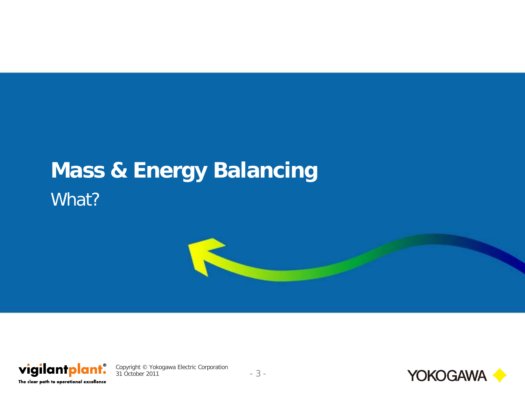# **Mass & Energy Balancing** What?





Copyright © Yokogawa Electric Corporation 31 October 2011 - 3 -

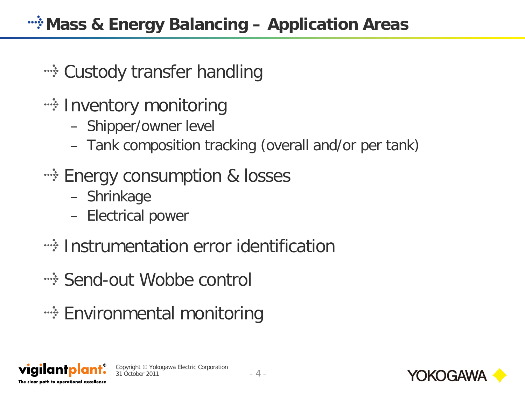- •• Custody transfer handling
- **Example 1 Finds** inventory monitoring
	- Shipper/owner level
	- Tank composition tracking (overall and/or per tank)
- **Energy consumption & losses** 
	- Shrinkage
	- Electrical power
- **EXECT:** Instrumentation error identification
- Send-out Wobbe control
- **Environmental monitoring**



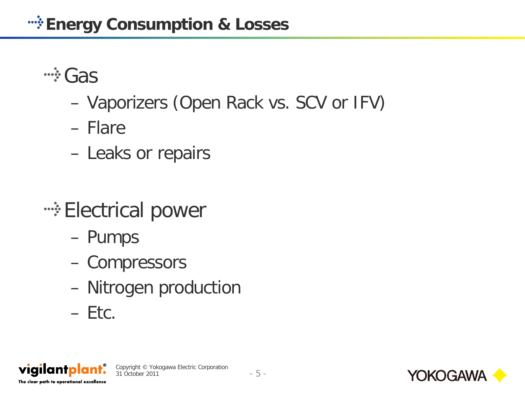**...**; Gas

- Vaporizers (Open Rack vs. SCV or IFV)
- Flare
- Leaks or repairs
- **•• Electrical power** 
	- Pumps
	- Compressors
	- Nitrogen production
	- $-$  Etc.



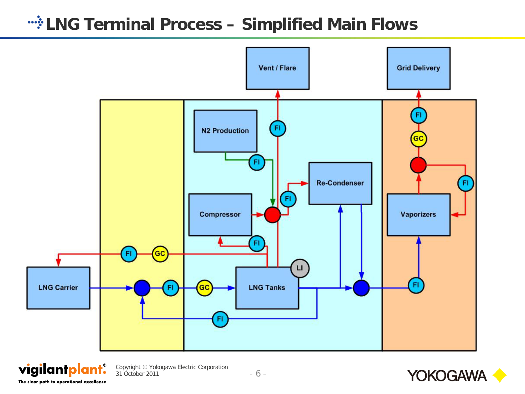#### *LNG Terminal Process - Simplified Main Flows*





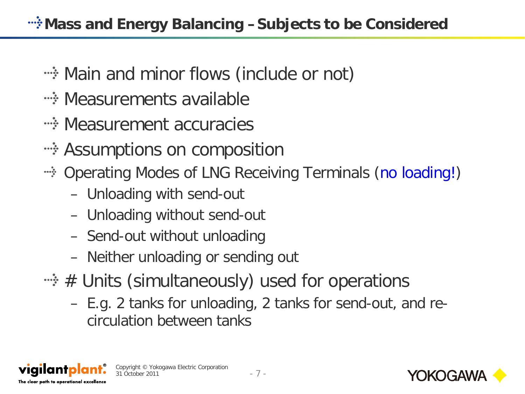- **Example 20 rand minor flows (include or not)**
- **Exagger Measurements available**
- **Example 23 Measurement accuracies**
- •• Assumptions on composition
- Operating Modes of LNG Receiving Terminals (no loading!)
	- Unloading with send-out
	- Unloading without send-out
	- Send-out without unloading
	- Neither unloading or sending out
- $\cdot \cdot \cdot \cdot$  # Units (simultaneously) used for operations
	- E.g. 2 tanks for unloading, 2 tanks for send-out, and recirculation between tanks



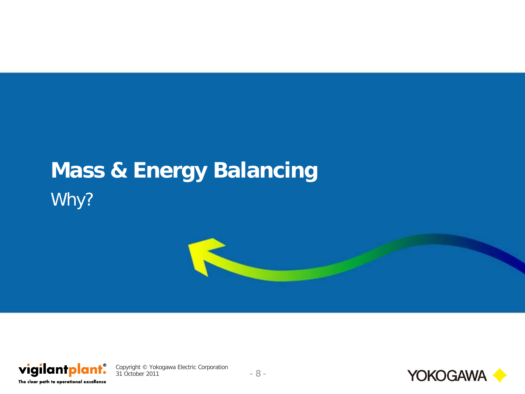# **Mass & Energy Balancing** Why?





Copyright © Yokogawa Electric Corporation 31 October 2011 - 8 -

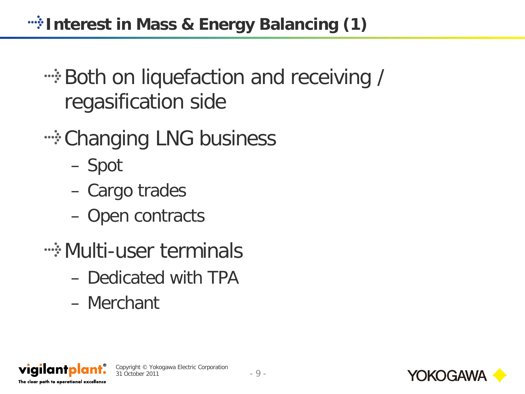**Interest in Mass & Energy Balancing (1)** 

# **Example 1 Figure 1 Figure 1 Figure 1 Figure 2 Figure 2 Figure 2 Figure 2 Figure 2 Figure 2 Figure 2 Figure 2 Figure 2 Figure 2 Figure 2 Figure 2 Figure 2 Figure 2 Figure 2 Figure 2 Figure 2 Figure 2 Figure 2 Figure 2 Figu** regasification side

- **Example 20 Fig. 20 Fig. 20 Fig. 20 Fig. 20 Fig. 20 Fig. 20 Fig. 20 Fig. 20 Fig. 20 Fig. 20 Fig. 20 Fig. 20 Fig. 20 Fig. 20 Fig. 20 Fig. 20 Fig. 20 Fig. 20 Fig. 20 Fig. 20 Fig. 20 Fig. 20 Fig. 20 Fig. 20 Fig. 20 Fig. 20 Fi** 
	- Spot
	- Cargo trades
	- Open contracts
- **Example 1 Multi-user terminals** 
	- Dedicated with TPA
	- Merchant



viailantpla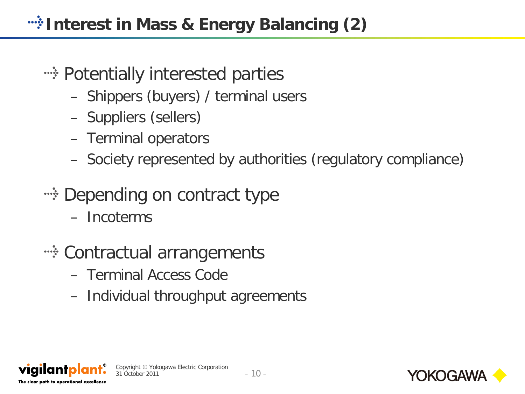- **Example 12 Formally interested parties** 
	- Shippers (buyers) / terminal users
	- Suppliers (sellers)
	- Terminal operators
	- Society represented by authorities (regulatory compliance)
- •• Depending on contract type
	- Incoterms
- ••• Contractual arrangements
	- Terminal Access Code
	- Individual throughput agreements





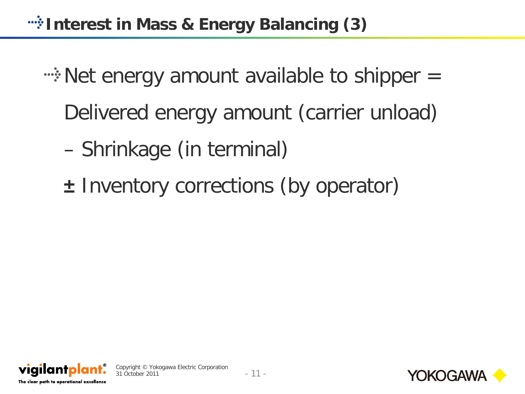**Interest in Mass & Energy Balancing (3)** 

- ••• Net energy amount available to shipper = Delivered energy amount (carrier unload)
	- Shrinkage (in terminal)
	- **±** Inventory corrections (by operator)



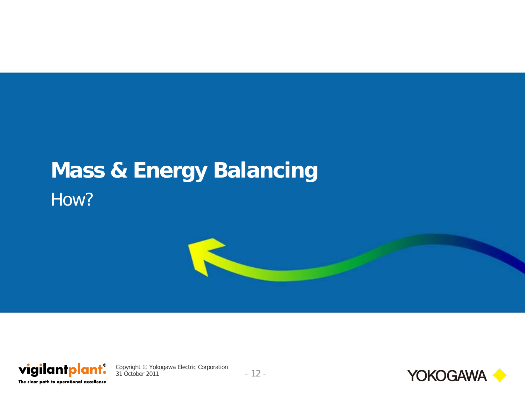# **Mass & Energy Balancing** How?





Copyright © Yokogawa Electric Corporation 31 October 2011 - 12 -

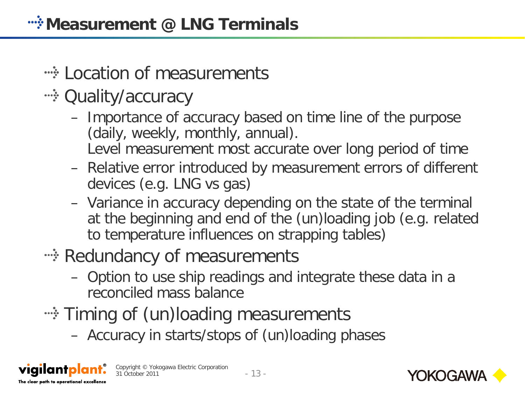### **Example 2 Fig. 2 Fig. 2 Fig. 2 Fig. 2 Fig. 2 Fig. 2 Fig. 2 Fig. 2 Fig. 2 Fig. 2 Fig. 2 Fig. 2 Fig. 2 Fig. 2 Fig. 2 Fig. 2 Fig. 2 Fig. 2 Fig. 2 Fig. 2 Fig. 2 Fig. 2 Fig. 2 Fig. 2 Fig. 2 Fig. 2 Fig. 2 Fig. 2 Fig. 2 Fig. 2 F**

- •• Quality/accuracy
	- Importance of accuracy based on time line of the purpose (daily, weekly, monthly, annual). Level measurement most accurate over long period of time
	- Relative error introduced by measurement errors of different devices (e.g. LNG vs gas)
	- Variance in accuracy depending on the state of the terminal at the beginning and end of the (un)loading job (e.g. related to temperature influences on strapping tables)
- •• Redundancy of measurements
	- Option to use ship readings and integrate these data in a reconciled mass balance
- **EXALGE Triming of (un)loading measurements** 
	- Accuracy in starts/stops of (un)loading phases



viailantol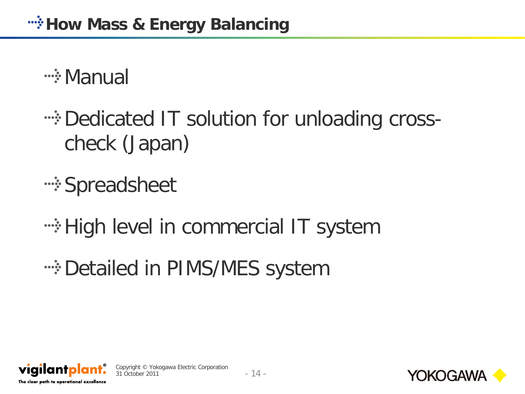**<sup>...</sup> Manual** 

•• Dedicated IT solution for unloading crosscheck (Japan)

**•• Spreadsheet** 

**High level in commercial IT system** 

**Example 25 Septem** Financies System





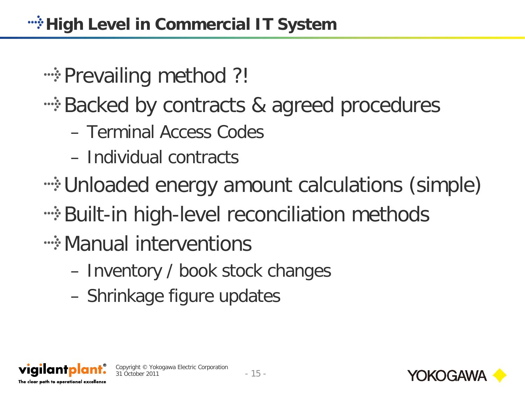**Example 20 Figure 1:** Prevailing method ?!

- **EXA:** Backed by contracts & agreed procedures
	- Terminal Access Codes
	- Individual contracts
- Unloaded energy amount calculations (simple)
- **Example 13 Telemia in the Universe** of the example the two methods
- **Example 12 Manual interventions** 
	- Inventory / book stock changes
	- Shrinkage figure updates



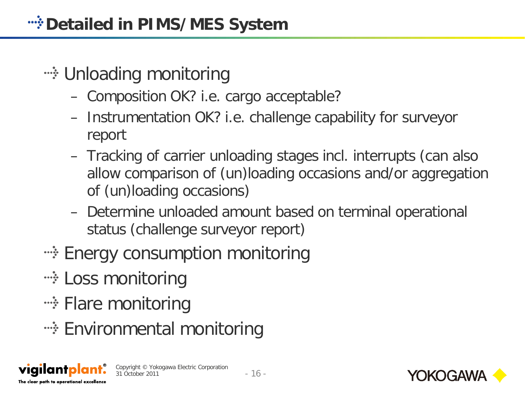- **Example 2018** Finloading monitoring
	- Composition OK? i.e. cargo acceptable?
	- Instrumentation OK? i.e. challenge capability for surveyor report
	- Tracking of carrier unloading stages incl. interrupts (can also allow comparison of (un)loading occasions and/or aggregation of (un)loading occasions)
	- Determine unloaded amount based on terminal operational status (challenge surveyor report)
- •• Energy consumption monitoring
- **… Loss monitoring**
- •• Flare monitoring
- **Environmental monitoring**





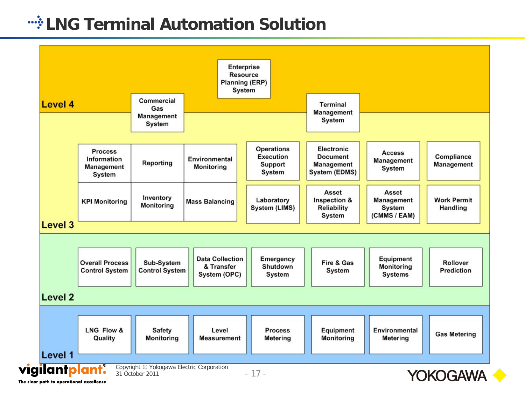#### **Example 2 Fig. 2 Fig. 2 Fig. 2 Fig. 2 Fig. 2 Fig. 2 Fig. 2 Fig. 2 Fig. 2 Fig. 2 Fig. 2 Fig. 2 Fig. 2 Fig. 2 Fig. 2 Fig. 2 Fig. 2 Fig. 2 Fig. 2 Fig. 2 Fig. 2 Fig. 2 Fig. 2 Fig. 2 Fig. 2 Fig. 2 Fig. 2 Fig. 2 Fig. 2 Fig. 2 F**

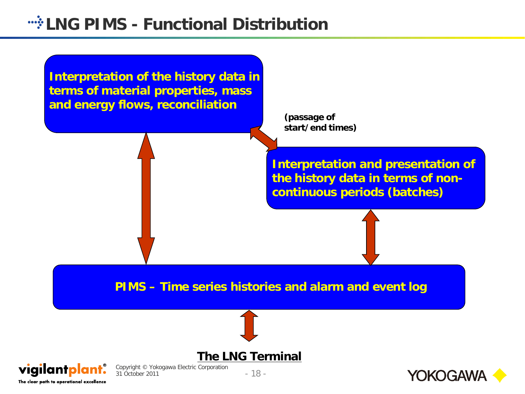#### *LNG PIMS - Functional Distribution*



The clear path to operational excellence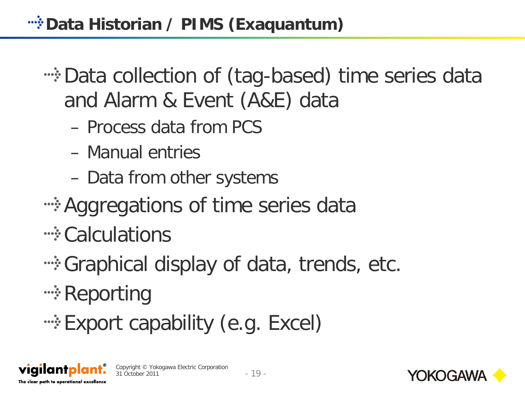*wi* Data Historian / PIMS (Exaquantum)

•• Data collection of (tag-based) time series data and Alarm & Event (A&E) data

- Process data from PCS
- Manual entries
- Data from other systems
- ••• Aggregations of time series data
- <u>
Calculations</u>
- **Example 20 Figure 10 Separate 10.** The Graphical display of data, trends, etc.
- **•• Reporting**
- **Export capability (e.g. Excel)**





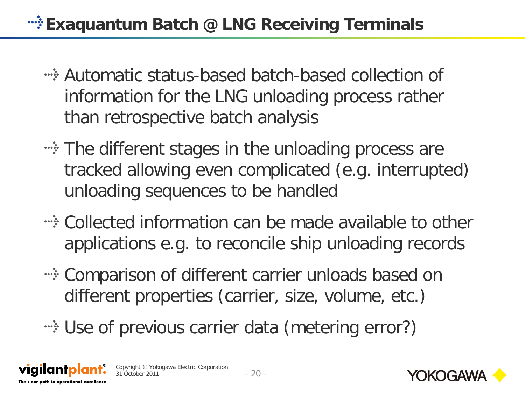### **Exaquantum Batch @ LNG Receiving Terminals**

- Automatic status-based batch-based collection of information for the LNG unloading process rather than retrospective batch analysis
- **EXED The different stages in the unloading process are** tracked allowing even complicated (e.g. interrupted) unloading sequences to be handled
- Collected information can be made available to other applications e.g. to reconcile ship unloading records
- **EXED THE COMPARISON OF different carrier unloads based on** different properties (carrier, size, volume, etc.)
- •• Use of previous carrier data (metering error?)





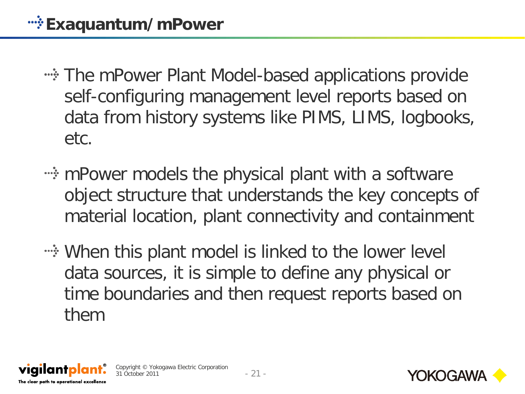- The mPower Plant Model-based applications provide self-configuring management level reports based on data from history systems like PIMS, LIMS, logbooks, etc.
- methomage models the physical plant with a software object structure that understands the key concepts of material location, plant connectivity and containment
- **Example 1 Set Theory When this plant model is linked to the lower level** data sources, it is simple to define any physical or time boundaries and then request reports based on them



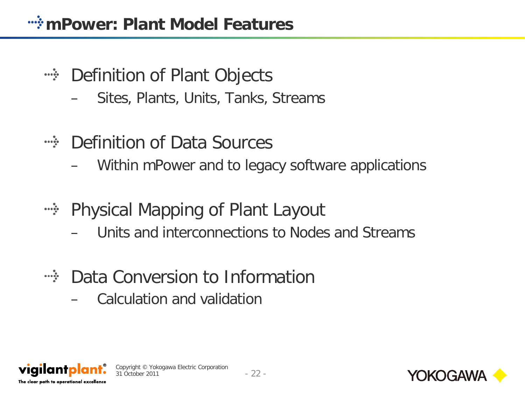- Definition of Plant Objects  $\frac{1}{2}$ 
	- Sites, Plants, Units, Tanks, Streams
- Definition of Data Sources  $\cdots$ 
	- Within mPower and to legacy software applications
- **EXECT:** Physical Mapping of Plant Layout
	- Units and interconnections to Nodes and Streams
- Data Conversion to Information  $\begin{array}{ccc}\n\bullet & \bullet & \bullet & \bullet & \bullet & \bullet & \bullet & \bullet\n\end{array}$ 
	- Calculation and validation





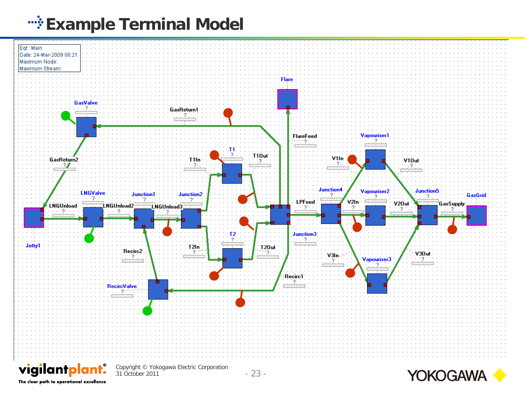### **Example Terminal Model**





The clear path to operational excellence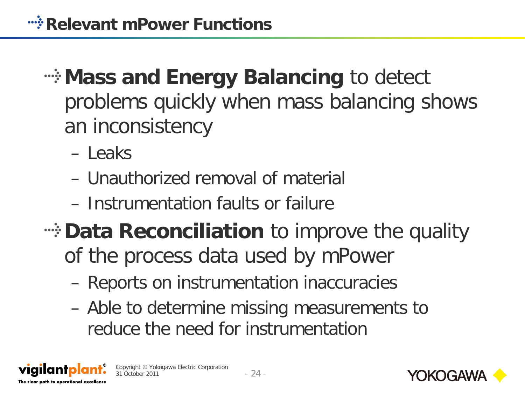# **Mass and Energy Balancing to detect** problems quickly when mass balancing shows an inconsistency

- Leaks
- Unauthorized removal of material
- Instrumentation faults or failure

Copyright © Yokogawa Electric Corporation

- **EVATA Reconciliation** to improve the quality of the process data used by mPower
	- Reports on instrumentation inaccuracies
	- Able to determine missing measurements to reduce the need for instrumentation





viailantpl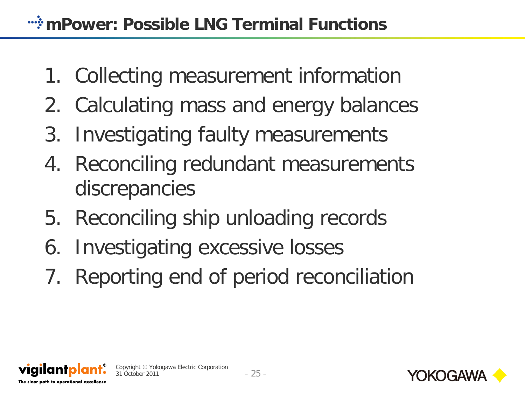- 1. Collecting measurement information
- 2. Calculating mass and energy balances
- 3. Investigating faulty measurements
- 4. Reconciling redundant measurements discrepancies
- 5. Reconciling ship unloading records
- 6. Investigating excessive losses
- 7. Reporting end of period reconciliation



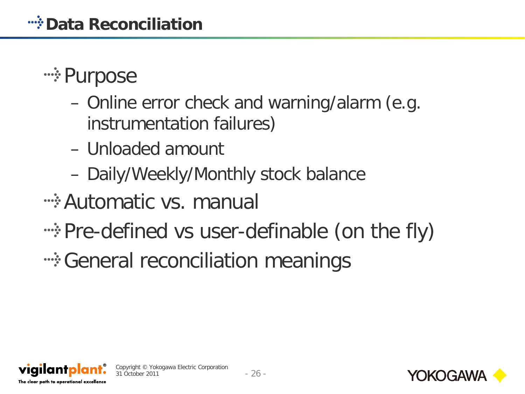## **•• Purpose**

- Online error check and warning/alarm (e.g. instrumentation failures)
- Unloaded amount
- Daily/Weekly/Monthly stock balance
- **Example 23 Automatic vs. manually**
- **EXALE:** Pre-defined vs user-definable (on the fly)
- ••• General reconciliation meanings



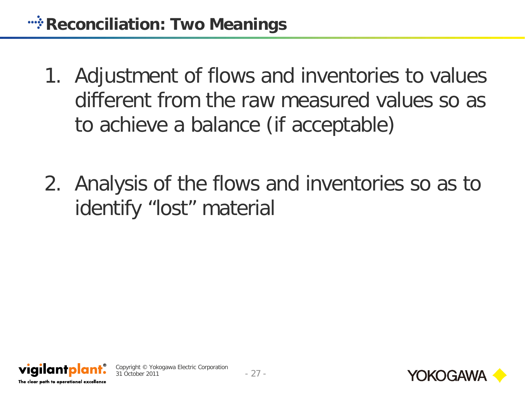- 1. Adjustment of flows and inventories to values different from the raw measured values so as to achieve a balance (if acceptable)
- 2. Analysis of the flows and inventories so as to identify "lost" material





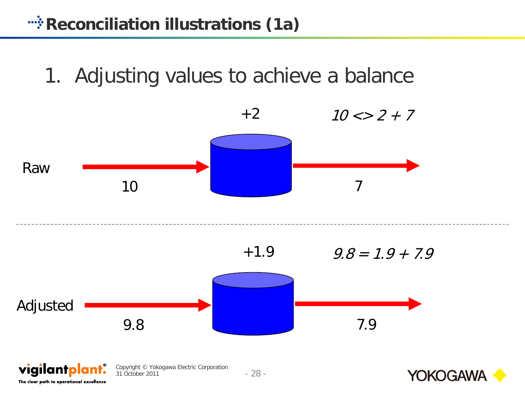## 1. Adjusting values to achieve a balance



The clear path to operational excellence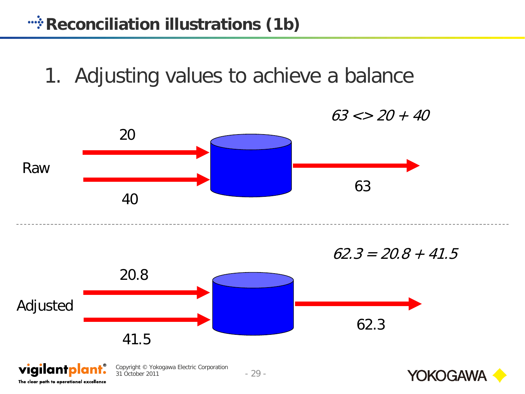1. Adjusting values to achieve a balance

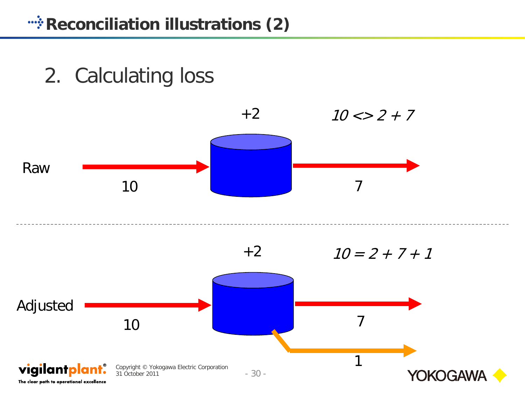2. Calculating loss

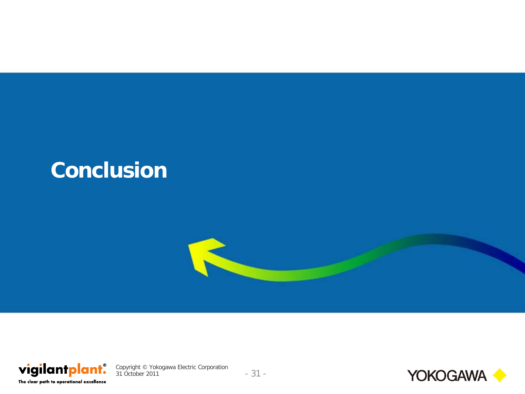### **Conclusion**





Copyright © Yokogawa Electric Corporation 31 October 2011 - 31 -

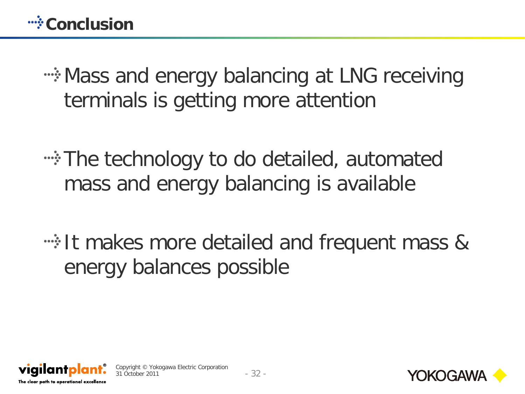**EXALES** and energy balancing at LNG receiving terminals is getting more attention

**A.** The technology to do detailed, automated mass and energy balancing is available

**It makes more detailed and frequent mass &** energy balances possible